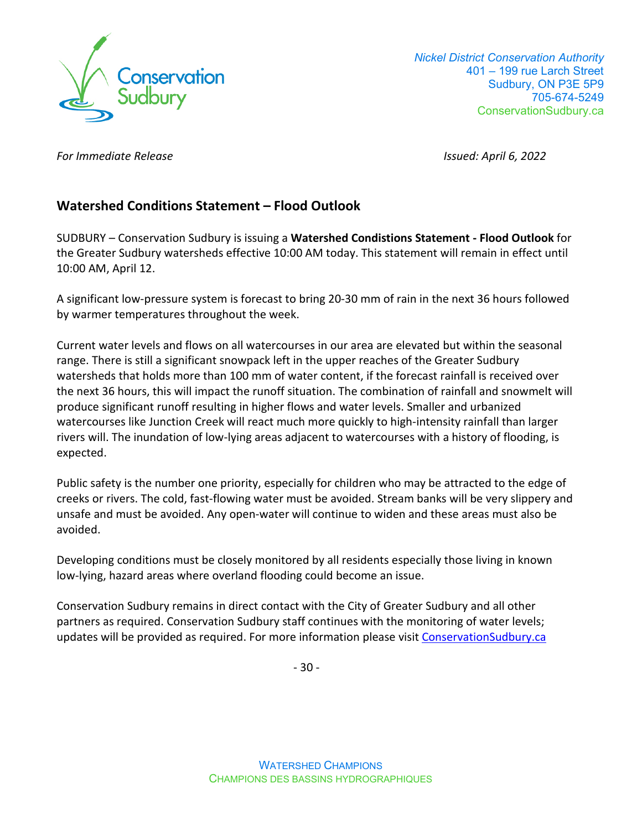

 *Nickel District Conservation Authority*  401 – 199 rue Larch Street Sudbury, ON P3E 5P9 705-674-5249 ConservationSudbury.ca

*For Immediate Release Issued: April 6, 2022* 

# **Watershed Conditions Statement – Flood Outlook**

SUDBURY – Conservation Sudbury is issuing a **Watershed Condistions Statement - Flood Outlook** for the Greater Sudbury watersheds effective 10:00 AM today. This statement will remain in effect until 10:00 AM, April 12.

A significant low-pressure system is forecast to bring 20-30 mm of rain in the next 36 hours followed by warmer temperatures throughout the week.

Current water levels and flows on all watercourses in our area are elevated but within the seasonal range. There is still a significant snowpack left in the upper reaches of the Greater Sudbury watersheds that holds more than 100 mm of water content, if the forecast rainfall is received over the next 36 hours, this will impact the runoff situation. The combination of rainfall and snowmelt will produce significant runoff resulting in higher flows and water levels. Smaller and urbanized watercourses like Junction Creek will react much more quickly to high-intensity rainfall than larger rivers will. The inundation of low-lying areas adjacent to watercourses with a history of flooding, is expected.

Public safety is the number one priority, especially for children who may be attracted to the edge of creeks or rivers. The cold, fast-flowing water must be avoided. Stream banks will be very slippery and unsafe and must be avoided. Any open-water will continue to widen and these areas must also be avoided.

Developing conditions must be closely monitored by all residents especially those living in known low-lying, hazard areas where overland flooding could become an issue.

Conservation Sudbury remains in direct contact with the City of Greater Sudbury and all other partners as required. Conservation Sudbury staff continues with the monitoring of water levels; updates will be provided as required. For more information please visit [ConservationSudbury.ca](https://conservationsudbury.ca/en/flood-status.html)

- 30 -